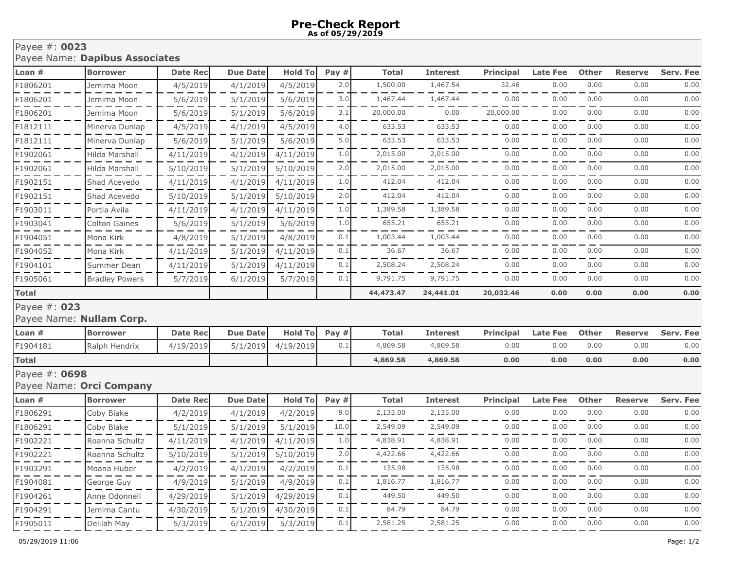## Payee #: **0023** Payee Name: **Dapibus Associates**

| Loan #                                   | <b>Borrower</b>          | <b>Date Rec</b> | <b>Due Date</b> | <b>Hold To</b> | Pay $#$   | <b>Total</b> | <b>Interest</b> | <b>Principal</b> | <b>Late Fee</b> | <b>Other</b> | <b>Reserve</b> | <b>Serv. Fee</b> |
|------------------------------------------|--------------------------|-----------------|-----------------|----------------|-----------|--------------|-----------------|------------------|-----------------|--------------|----------------|------------------|
| F1806201                                 | Jemima Moon              | 4/5/2019        | 4/1/2019        | 4/5/2019       | 2.0       | 1,500.00     | 1,467.54        | 32.46            | 0.00            | 0.00         | 0.00           | 0.00             |
| F1806201                                 | Jemima Moon              | 5/6/2019        | 5/1/2019        | 5/6/2019       | 3.0       | 1,467.44     | 1,467.44        | 0.00             | 0.00            | 0.00         | 0.00           | 0.00             |
| F1806201                                 | Jemima Moon              | 5/6/2019        | 5/1/2019        | 5/6/2019       | 3.1       | 20,000.00    | 0.00            | 20,000.00        | 0.00            | 0.00         | 0.00           | 0.00             |
| F1812111                                 | Minerva Dunlap           | 4/5/2019        | 4/1/2019        | 4/5/2019       | 4.0       | 633.53       | 633.53          | 0.00             | 0.00            | 0.00         | 0.00           | 0.00             |
| F1812111                                 | Minerva Dunlap           | 5/6/2019        | 5/1/2019        | 5/6/2019       | 5.0       | 633.53       | 633.53          | 0.00             | 0.00            | 0.00         | 0.00           | 0.00             |
| F1902061                                 | Hilda Marshall           | 4/11/2019       | 4/1/2019        | 4/11/2019      | 1.0       | 2,015.00     | 2,015.00        | 0.00             | 0.00            | 0.00         | 0.00           | 0.00             |
| F1902061                                 | Hilda Marshall           | 5/10/2019       | 5/1/2019        | 5/10/2019      | 2.0       | 2,015.00     | 2,015.00        | 0.00             | 0.00            | 0.00         | 0.00           | 0.00             |
| F1902151                                 | Shad Acevedo             | 4/11/2019       | 4/1/2019        | 4/11/2019      | 1.0       | 412.04       | 412.04          | 0.00             | 0.00            | 0.00         | 0.00           | 0.00             |
| F1902151                                 | Shad Acevedo             | 5/10/2019       | 5/1/2019        | 5/10/2019      | 2.0       | 412.04       | 412.04          | 0.00             | 0.00            | 0.00         | 0.00           | 0.00             |
| F1903011                                 | Portia Avila             | 4/11/2019       | 4/1/2019        | 4/11/2019      | 1.0       | 1,389.58     | 1,389.58        | 0.00             | 0.00            | 0.00         | 0.00           | 0.00             |
| F1903041                                 | Colton Gaines            | 5/6/2019        | 5/1/2019        | 5/6/2019       | 1.0       | 655.21       | 655.21          | 0.00             | 0.00            | 0.00         | 0.00           | 0.00             |
| F1904051                                 | Mona Kirk                | 4/8/2019        | 5/1/2019        | 4/8/2019       | 0.1       | 1,003.44     | 1,003.44        | 0.00             | 0.00            | 0.00         | 0.00           | 0.00             |
| F1904052                                 | Mona Kirk                | 4/11/2019       | 5/1/2019        | 4/11/2019      | 0.1       | 36.67        | 36.67           | 0.00             | 0.00            | 0.00         | 0.00           | 0.00             |
| F1904101                                 | Summer Dean              | 4/11/2019       | 5/1/2019        | 4/11/2019      | 0.1       | 2,508.24     | 2,508.24        | 0.00             | 0.00            | 0.00         | 0.00           | 0.00             |
| F1905061                                 | <b>Bradley Powers</b>    | 5/7/2019        | 6/1/2019        | 5/7/2019       | 0.1       | 9,791.75     | 9,791.75        | 0.00             | 0.00            | 0.00         | 0.00           | 0.00             |
| Total                                    |                          |                 |                 |                | 44,473.47 | 24,441.01    | 20,032.46       | 0.00             | 0.00            | 0.00         | 0.00           |                  |
| Payee #: 023<br>Payee Name: Nullam Corp. |                          |                 |                 |                |           |              |                 |                  |                 |              |                |                  |
| Loan #                                   | <b>Borrower</b>          | <b>Date Rec</b> | <b>Due Date</b> | <b>Hold To</b> | Pay #     | <b>Total</b> | <b>Interest</b> | <b>Principal</b> | <b>Late Fee</b> | <b>Other</b> | <b>Reserve</b> | <b>Serv. Fee</b> |
| F1904181                                 | Ralph Hendrix            | 4/19/2019       | 5/1/2019        | 4/19/2019      | 0.1       | 4,869.58     | 4,869.58        | 0.00             | 0.00            | 0.00         | 0.00           | 0.00             |
| <b>Total</b>                             |                          |                 |                 |                |           | 4,869.58     | 4,869.58        | 0.00             | 0.00            | 0.00         | 0.00           | 0.00             |
| Payee #: 0698                            | Payee Name: Orci Company |                 |                 |                |           |              |                 |                  |                 |              |                |                  |
| Loan #                                   | <b>Borrower</b>          | <b>Date Rec</b> | <b>Due Date</b> | <b>Hold To</b> | Pay $#$   | <b>Total</b> | <b>Interest</b> | <b>Principal</b> | <b>Late Fee</b> | <b>Other</b> | <b>Reserve</b> | Serv. Fee        |
| F1806291                                 | Coby Blake               | 4/2/2019        | 4/1/2019        | 4/2/2019       | 9.0       | 2,135.00     | 2,135.00        | 0.00             | 0.00            | 0.00         | 0.00           | 0.00             |
| F1806291                                 | Coby Blake               | 5/1/2019        | 5/1/2019        | 5/1/2019       | 10.0      | 2,549.09     | 2,549.09        | 0.00             | 0.00            | 0.00         | 0.00           | 0.00             |
| F1902221                                 | Roanna Schultz           | 4/11/2019       | 4/1/2019        | 4/11/2019      | 1.0       | 4,838.91     | 4,838.91        | 0.00             | 0.00            | 0.00         | 0.00           | 0.00             |
| F1902221                                 | Roanna Schultz           | 5/10/2019       | 5/1/2019        | 5/10/2019      | 2.0       | 4,422.66     | 4,422.66        | 0.00             | 0.00            | 0.00         | 0.00           | 0.00             |
| F1903291                                 | Moana Huber              | 4/2/2019        | 4/1/2019        | 4/2/2019       | 0.1       | 135.98       | 135.98          | 0.00             | 0.00            | 0.00         | 0.00           | 0.00             |
| F1904081                                 | George Guy               | 4/9/2019        | 5/1/2019        | 4/9/2019       | 0.1       | 1,816.77     | 1,816.77        | 0.00             | 0.00            | 0.00         | 0.00           | 0.00             |
| F1904261                                 | Anne Odonnell            | 4/29/2019       | 5/1/2019        | 4/29/2019      | 0.1       | 449.50       | 449.50          | 0.00             | 0.00            | 0.00         | 0.00           | 0.00             |
| F1904291                                 | Jemima Cantu             | 4/30/2019       | 5/1/2019        | 4/30/2019      | 0.1       | 84.79        | 84.79           | 0.00             | 0.00            | 0.00         | 0.00           | 0.00             |
| F1905011                                 | Delilah May              | 5/3/2019        | 6/1/2019        | 5/3/2019       | 0.1       | 2,581.25     | 2,581.25        | 0.00             | 0.00            | 0.00         | 0.00           | 0.00             |